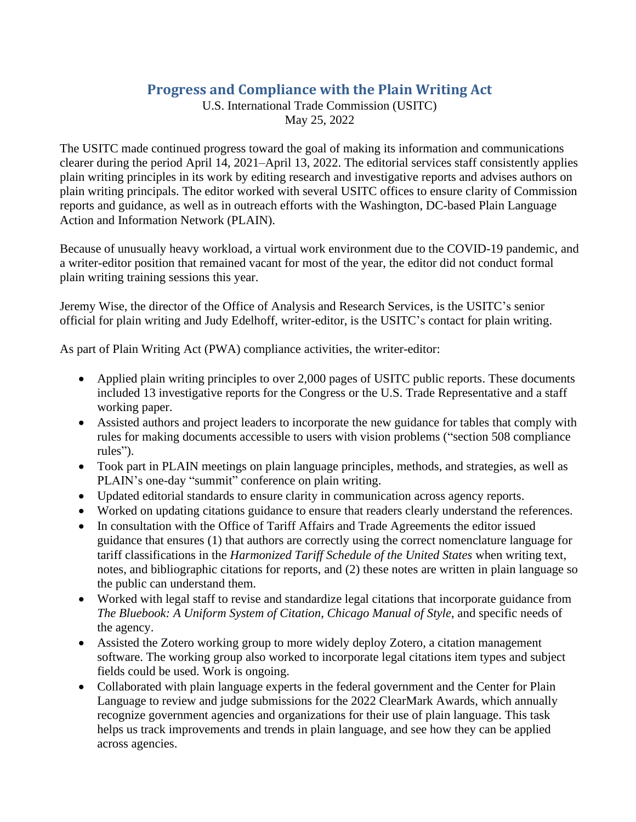## **Progress and Compliance with the Plain Writing Act**

U.S. International Trade Commission (USITC) May 25, 2022

The USITC made continued progress toward the goal of making its information and communications clearer during the period April 14, 2021–April 13, 2022. The editorial services staff consistently applies plain writing principles in its work by editing research and investigative reports and advises authors on plain writing principals. The editor worked with several USITC offices to ensure clarity of Commission reports and guidance, as well as in outreach efforts with the Washington, DC-based Plain Language Action and Information Network (PLAIN).

Because of unusually heavy workload, a virtual work environment due to the COVID-19 pandemic, and a writer-editor position that remained vacant for most of the year, the editor did not conduct formal plain writing training sessions this year.

Jeremy Wise, the director of the Office of Analysis and Research Services, is the USITC's senior official for plain writing and Judy Edelhoff, writer-editor, is the USITC's contact for plain writing.

As part of Plain Writing Act (PWA) compliance activities, the writer-editor:

- Applied plain writing principles to over 2,000 pages of USITC public reports. These documents included 13 investigative reports for the Congress or the U.S. Trade Representative and a staff working paper.
- Assisted authors and project leaders to incorporate the new guidance for tables that comply with rules for making documents accessible to users with vision problems ("section 508 compliance rules").
- Took part in PLAIN meetings on plain language principles, methods, and strategies, as well as PLAIN's one-day "summit" conference on plain writing.
- Updated editorial standards to ensure clarity in communication across agency reports.
- Worked on updating citations guidance to ensure that readers clearly understand the references.
- In consultation with the Office of Tariff Affairs and Trade Agreements the editor issued guidance that ensures (1) that authors are correctly using the correct nomenclature language for tariff classifications in the *Harmonized Tariff Schedule of the United States* when writing text, notes, and bibliographic citations for reports, and (2) these notes are written in plain language so the public can understand them.
- Worked with legal staff to revise and standardize legal citations that incorporate guidance from *The Bluebook: A Uniform System of Citation*, *Chicago Manual of Style*, and specific needs of the agency.
- Assisted the Zotero working group to more widely deploy Zotero, a citation management software. The working group also worked to incorporate legal citations item types and subject fields could be used. Work is ongoing.
- Collaborated with plain language experts in the federal government and the Center for Plain Language to review and judge submissions for the 2022 ClearMark Awards, which annually recognize government agencies and organizations for their use of plain language. This task helps us track improvements and trends in plain language, and see how they can be applied across agencies.